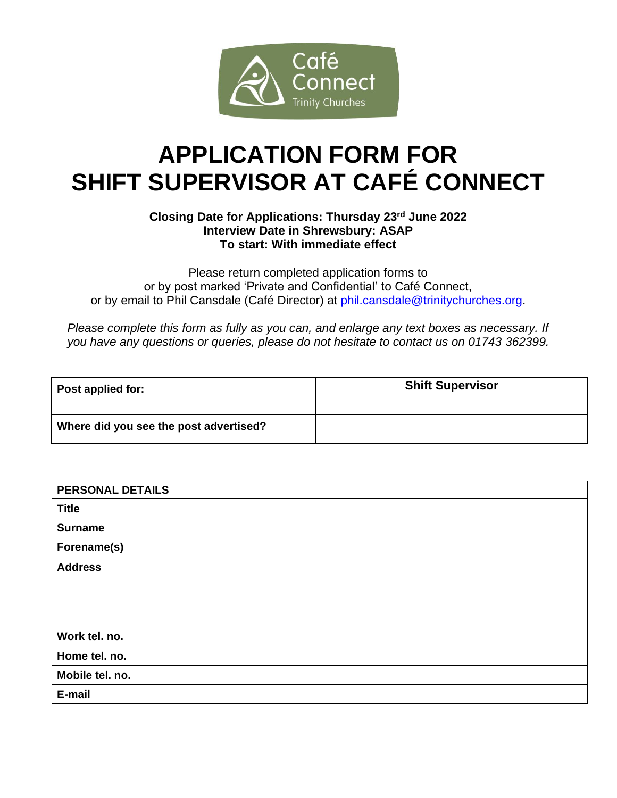

# **APPLICATION FORM FOR SHIFT SUPERVISOR AT CAFÉ CONNECT**

### **Closing Date for Applications: Thursday 23rd June 2022 Interview Date in Shrewsbury: ASAP To start: With immediate effect**

Please return completed application forms to or by post marked 'Private and Confidential' to Café Connect, or by email to Phil Cansdale (Café Director) at [phil.cansdale@trinitychurches.org.](mailto:phil.cansdale@trinitychurches.org)

*Please complete this form as fully as you can, and enlarge any text boxes as necessary. If you have any questions or queries, please do not hesitate to contact us on 01743 362399.*

| Post applied for:                      | <b>Shift Supervisor</b> |
|----------------------------------------|-------------------------|
| Where did you see the post advertised? |                         |

| PERSONAL DETAILS |  |
|------------------|--|
| <b>Title</b>     |  |
| <b>Surname</b>   |  |
| Forename(s)      |  |
| <b>Address</b>   |  |
| Work tel. no.    |  |
| Home tel. no.    |  |
| Mobile tel. no.  |  |
| E-mail           |  |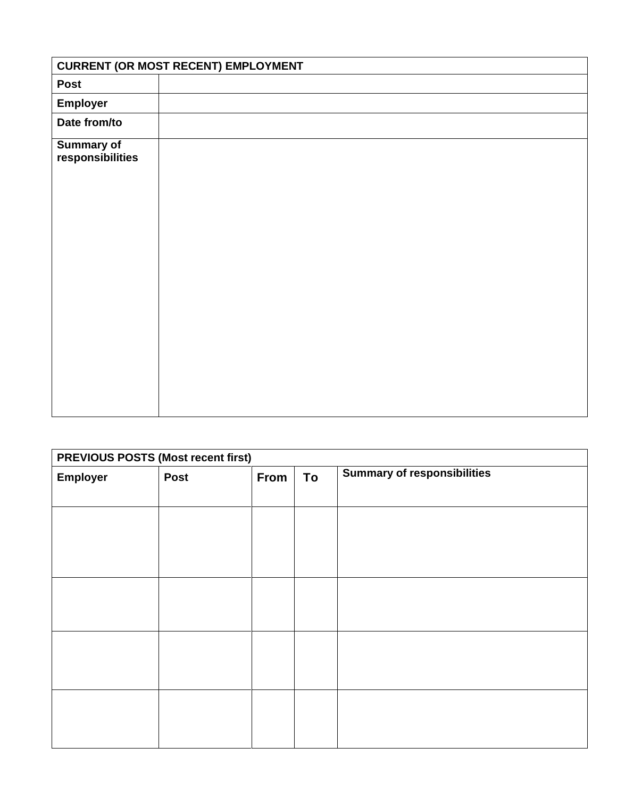|                                       | <b>CURRENT (OR MOST RECENT) EMPLOYMENT</b> |
|---------------------------------------|--------------------------------------------|
| <b>Post</b>                           |                                            |
| <b>Employer</b>                       |                                            |
| Date from/to                          |                                            |
| <b>Summary of</b><br>responsibilities |                                            |
|                                       |                                            |

## **PREVIOUS POSTS (Most recent first)**

| <b>Employer</b> | Post | From | To | <b>Summary of responsibilities</b> |
|-----------------|------|------|----|------------------------------------|
|                 |      |      |    |                                    |
|                 |      |      |    |                                    |
|                 |      |      |    |                                    |
|                 |      |      |    |                                    |
|                 |      |      |    |                                    |
|                 |      |      |    |                                    |
|                 |      |      |    |                                    |
|                 |      |      |    |                                    |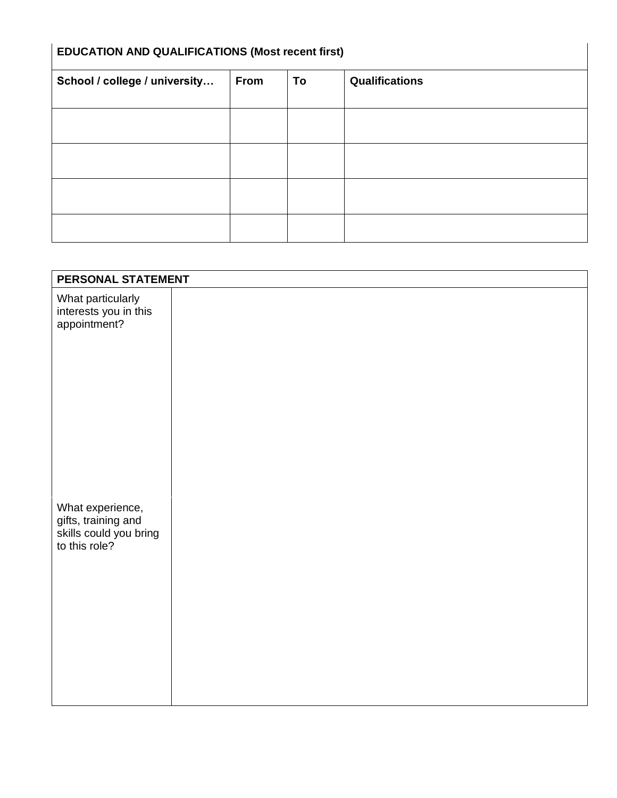| <b>EDUCATION AND QUALIFICATIONS (Most recent first)</b> |      |    |                |
|---------------------------------------------------------|------|----|----------------|
| School / college / university                           | From | To | Qualifications |
|                                                         |      |    |                |
|                                                         |      |    |                |
|                                                         |      |    |                |
|                                                         |      |    |                |
|                                                         |      |    |                |

| PERSONAL STATEMENT                                                                 |  |
|------------------------------------------------------------------------------------|--|
| What particularly<br>interests you in this<br>appointment?                         |  |
| What experience,<br>gifts, training and<br>skills could you bring<br>to this role? |  |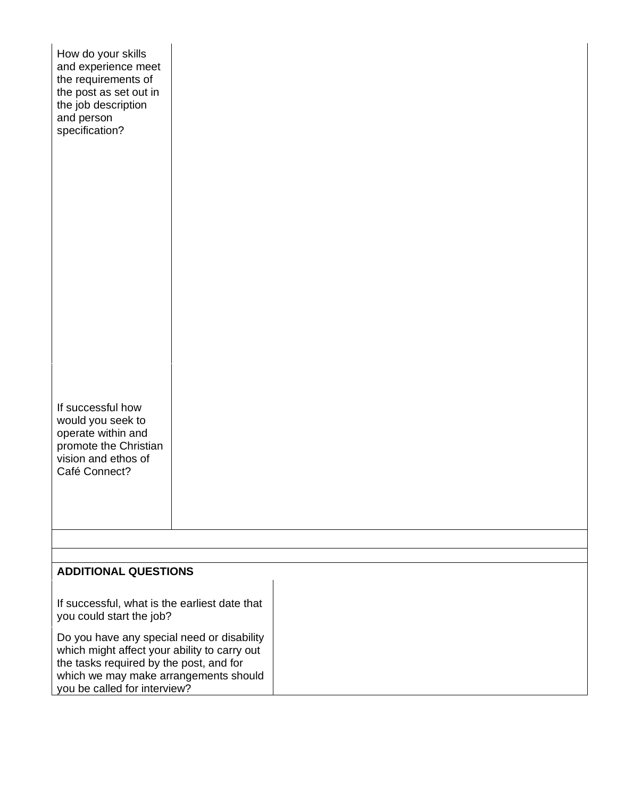| How do your skills<br>and experience meet<br>the requirements of<br>the post as set out in<br>the job description<br>and person<br>specification?                                                                                                                                           |  |  |
|---------------------------------------------------------------------------------------------------------------------------------------------------------------------------------------------------------------------------------------------------------------------------------------------|--|--|
| If successful how<br>would you seek to<br>operate within and<br>promote the Christian<br>vision and ethos of<br>Café Connect?                                                                                                                                                               |  |  |
|                                                                                                                                                                                                                                                                                             |  |  |
| <b>ADDITIONAL QUESTIONS</b>                                                                                                                                                                                                                                                                 |  |  |
| If successful, what is the earliest date that<br>you could start the job?<br>Do you have any special need or disability<br>which might affect your ability to carry out<br>the tasks required by the post, and for<br>which we may make arrangements should<br>you be called for interview? |  |  |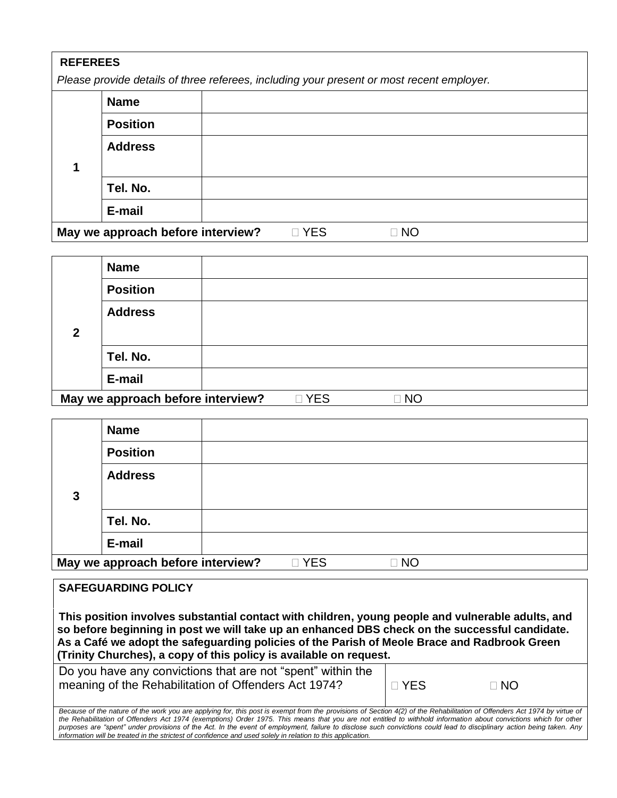#### **REFEREES**

*Please provide details of three referees, including your present or most recent employer.* 

| <b>Name</b>                                                      |                      |                  |  |
|------------------------------------------------------------------|----------------------|------------------|--|
| <b>Position</b>                                                  |                      |                  |  |
| <b>Address</b>                                                   |                      |                  |  |
| Tel. No.                                                         |                      |                  |  |
| E-mail                                                           |                      |                  |  |
| $M_{\rm BH}$ using approach to the second dependence of $\Omega$ | $\Box$ $\vee$ $\Box$ | $\Box$ NI $\cap$ |  |

**May we approach before interview?**  $\Box$  YES  $\Box$  NO

|              | <b>Name</b>                                           |                   |                            |  |
|--------------|-------------------------------------------------------|-------------------|----------------------------|--|
|              | <b>Position</b>                                       |                   |                            |  |
|              | <b>Address</b>                                        |                   |                            |  |
| $\mathbf{2}$ |                                                       |                   |                            |  |
|              | Tel. No.                                              |                   |                            |  |
|              | E-mail                                                |                   |                            |  |
|              | Married and proposed to the fame integration $\Omega$ | $\sim$ $\sqrt{2}$ | $\Box$ $\Lambda$ $\Lambda$ |  |

**May we approach before interview?**  $\Box$  YES  $\Box$  NO

|              | <b>Name</b>                       |       |           |
|--------------|-----------------------------------|-------|-----------|
|              | <b>Position</b>                   |       |           |
|              | <b>Address</b>                    |       |           |
| $\mathbf{3}$ |                                   |       |           |
|              | Tel. No.                          |       |           |
|              | E-mail                            |       |           |
|              | May we approach before interview? | □ YES | $\Box$ NO |

**SAFEGUARDING POLICY This position involves substantial contact with children, young people and vulnerable adults, and so before beginning in post we will take up an enhanced DBS check on the successful candidate. As a Café we adopt the safeguarding policies of the Parish of Meole Brace and Radbrook Green (Trinity Churches), a copy of this policy is available on request.**  Do you have any convictions that are not "spent" within the meaning of the Rehabilitation of Offenders Act 1974?  $\Box$  YES  $\Box$  NO

Because of the nature of the work you are applying for, this post is exempt from the provisions of Section 4(2) of the Rehabilitation of Offenders Act 1974 by virtue of *the Rehabilitation of Offenders Act 1974 (exemptions) Order 1975. This means that you are not entitled to withhold information about convictions which for other purposes are "spent" under provisions of the Act. In the event of employment, failure to disclose such convictions could lead to disciplinary action being taken. Any information will be treated in the strictest of confidence and used solely in relation to this application.*